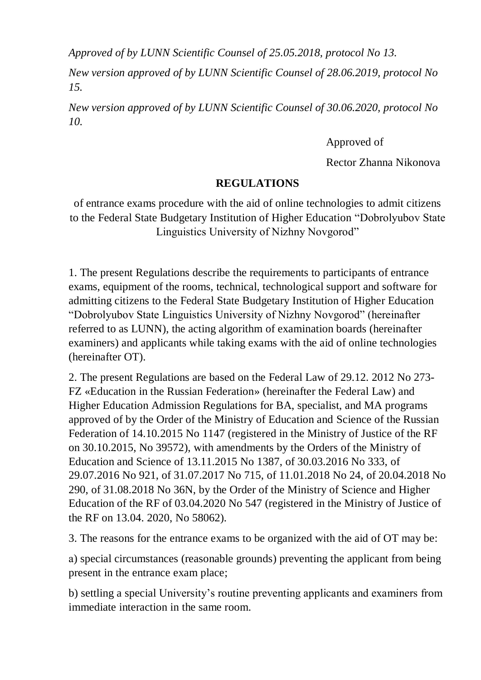*Approved of by LUNN Scientific Counsel of 25.05.2018, protocol No 13.* 

*New version approved of by LUNN Scientific Counsel of 28.06.2019, protocol No 15.*

*New version approved of by LUNN Scientific Counsel of 30.06.2020, protocol No 10.*

Approved of

Rector Zhanna Nikonova

## **REGULATIONS**

of entrance exams procedure with the aid of online technologies to admit citizens to the Federal State Budgetary Institution of Higher Education "Dobrolyubov State Linguistics University of Nizhny Novgorod"

1. The present Regulations describe the requirements to participants of entrance exams, equipment of the rooms, technical, technological support and software for admitting citizens to the Federal State Budgetary Institution of Higher Education "Dobrolyubov State Linguistics University of Nizhny Novgorod" (hereinafter referred to as LUNN), the acting algorithm of examination boards (hereinafter examiners) and applicants while taking exams with the aid of online technologies (hereinafter OT).

2. The present Regulations are based on the Federal Law of 29.12. 2012 No 273- FZ «Education in the Russian Federation» (hereinafter the Federal Law) and Higher Education Admission Regulations for BA, specialist, and MA programs approved of by the Order of the Ministry of Education and Science of the Russian Federation of 14.10.2015 No 1147 (registered in the Ministry of Justice of the RF on 30.10.2015, No 39572), with amendments by the Orders of the Ministry of Education and Science of 13.11.2015 No 1387, of 30.03.2016 No 333, of 29.07.2016 No 921, of 31.07.2017 No 715, of 11.01.2018 No 24, of 20.04.2018 No 290, of 31.08.2018 No 36N, by the Order of the Ministry of Science and Higher Education of the RF of 03.04.2020 No 547 (registered in the Ministry of Justice of the RF on 13.04. 2020, No 58062).

3. The reasons for the entrance exams to be organized with the aid of OT may be:

а) special circumstances (reasonable grounds) preventing the applicant from being present in the entrance exam place;

b) settling a special University's routine preventing applicants and examiners from immediate interaction in the same room.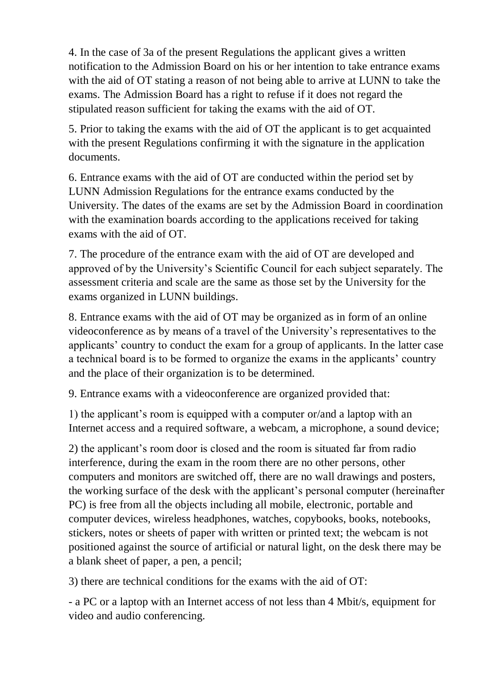4. In the case of 3a of the present Regulations the applicant gives a written notification to the Admission Board on his or her intention to take entrance exams with the aid of OT stating a reason of not being able to arrive at LUNN to take the exams. The Admission Board has a right to refuse if it does not regard the stipulated reason sufficient for taking the exams with the aid of OT.

5. Prior to taking the exams with the aid of OT the applicant is to get acquainted with the present Regulations confirming it with the signature in the application documents.

6. Entrance exams with the aid of OT are conducted within the period set by LUNN Admission Regulations for the entrance exams conducted by the University. The dates of the exams are set by the Admission Board in coordination with the examination boards according to the applications received for taking exams with the aid of OT.

7. The procedure of the entrance exam with the aid of OT are developed and approved of by the University's Scientific Council for each subject separately. The assessment criteria and scale are the same as those set by the University for the exams organized in LUNN buildings.

8. Entrance exams with the aid of OT may be organized as in form of an online videoconference as by means of a travel of the University's representatives to the applicants' country to conduct the exam for a group of applicants. In the latter case a technical board is to be formed to organize the exams in the applicants' country and the place of their organization is to be determined.

9. Entrance exams with a videoconference are organized provided that:

1) the applicant's room is equipped with a computer or/and a laptop with an Internet access and a required software, a webcam, a microphone, a sound device;

2) the applicant's room door is closed and the room is situated far from radio interference, during the exam in the room there are no other persons, other computers and monitors are switched off, there are no wall drawings and posters, the working surface of the desk with the applicant's personal computer (hereinafter PC) is free from all the objects including all mobile, electronic, portable and computer devices, wireless headphones, watches, copybooks, books, notebooks, stickers, notes or sheets of paper with written or printed text; the webcam is not positioned against the source of artificial or natural light, on the desk there may be a blank sheet of paper, a pen, a pencil;

3) there are technical conditions for the exams with the aid of OT:

- a PC or a laptop with an Internet access of not less than 4 Mbit/s, equipment for video and audio conferencing.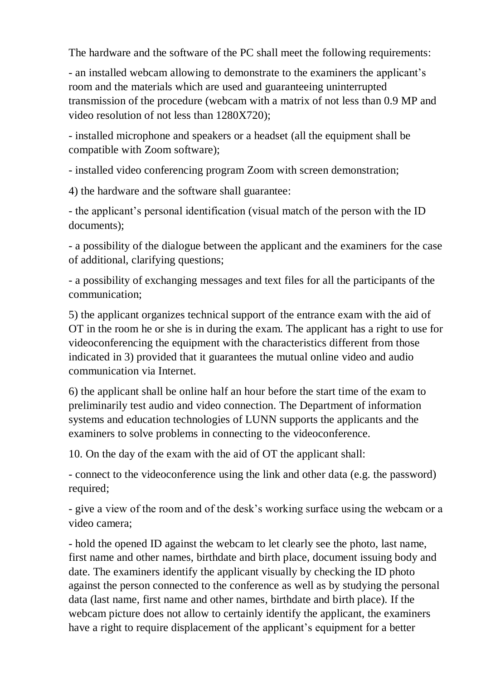The hardware and the software of the PC shall meet the following requirements:

- an installed webcam allowing to demonstrate to the examiners the applicant's room and the materials which are used and guaranteeing uninterrupted transmission of the procedure (webcam with a matrix of not less than 0.9 MP and video resolution of not less than 1280X720);

- installed microphone and speakers or a headset (all the equipment shall be compatible with Zoom software);

- installed video conferencing program Zoom with screen demonstration;

4) the hardware and the software shall guarantee:

- the applicant's personal identification (visual match of the person with the ID documents);

- a possibility of the dialogue between the applicant and the examiners for the case of additional, clarifying questions;

- a possibility of exchanging messages and text files for all the participants of the communication;

5) the applicant organizes technical support of the entrance exam with the aid of OT in the room he or she is in during the exam. The applicant has a right to use for videoconferencing the equipment with the characteristics different from those indicated in 3) provided that it guarantees the mutual online video and audio communication via Internet.

6) the applicant shall be online half an hour before the start time of the exam to preliminarily test audio and video connection. The Department of information systems and education technologies of LUNN supports the applicants and the examiners to solve problems in connecting to the videoconference.

10. On the day of the exam with the aid of OT the applicant shall:

- connect to the videoconference using the link and other data (e.g. the password) required;

- give a view of the room and of the desk's working surface using the webcam or a video camera;

- hold the opened ID against the webcam to let clearly see the photo, last name, first name and other names, birthdate and birth place, document issuing body and date. The examiners identify the applicant visually by checking the ID photo against the person connected to the conference as well as by studying the personal data (last name, first name and other names, birthdate and birth place). If the webcam picture does not allow to certainly identify the applicant, the examiners have a right to require displacement of the applicant's equipment for a better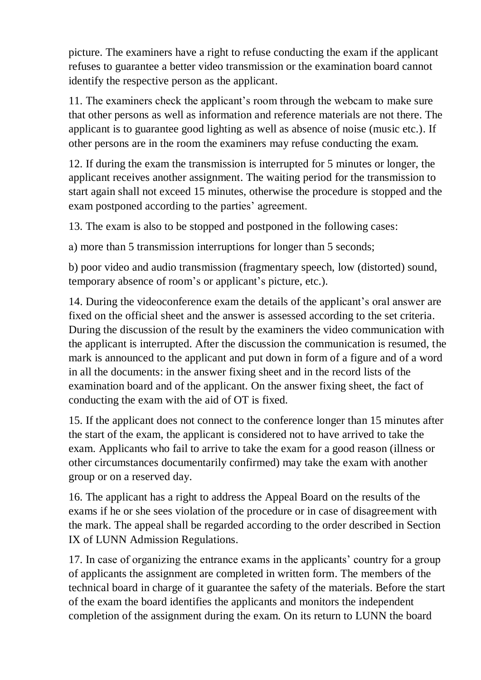picture. The examiners have a right to refuse conducting the exam if the applicant refuses to guarantee a better video transmission or the examination board cannot identify the respective person as the applicant.

11. The examiners check the applicant's room through the webcam to make sure that other persons as well as information and reference materials are not there. The applicant is to guarantee good lighting as well as absence of noise (music etc.). If other persons are in the room the examiners may refuse conducting the exam.

12. If during the exam the transmission is interrupted for 5 minutes or longer, the applicant receives another assignment. The waiting period for the transmission to start again shall not exceed 15 minutes, otherwise the procedure is stopped and the exam postponed according to the parties' agreement.

13. The exam is also to be stopped and postponed in the following cases:

а) more than 5 transmission interruptions for longer than 5 seconds;

b) poor video and audio transmission (fragmentary speech, low (distorted) sound, temporary absence of room's or applicant's picture, etc.).

14. During the videoconference exam the details of the applicant's oral answer are fixed on the official sheet and the answer is assessed according to the set criteria. During the discussion of the result by the examiners the video communication with the applicant is interrupted. After the discussion the communication is resumed, the mark is announced to the applicant and put down in form of a figure and of a word in all the documents: in the answer fixing sheet and in the record lists of the examination board and of the applicant. On the answer fixing sheet, the fact of conducting the exam with the aid of OT is fixed.

15. If the applicant does not connect to the conference longer than 15 minutes after the start of the exam, the applicant is considered not to have arrived to take the exam. Applicants who fail to arrive to take the exam for a good reason (illness or other circumstances documentarily confirmed) may take the exam with another group or on a reserved day.

16. The applicant has a right to address the Appeal Board on the results of the exams if he or she sees violation of the procedure or in case of disagreement with the mark. The appeal shall be regarded according to the order described in Section IX of LUNN Admission Regulations.

17. In case of organizing the entrance exams in the applicants' country for a group of applicants the assignment are completed in written form. The members of the technical board in charge of it guarantee the safety of the materials. Before the start of the exam the board identifies the applicants and monitors the independent completion of the assignment during the exam. On its return to LUNN the board